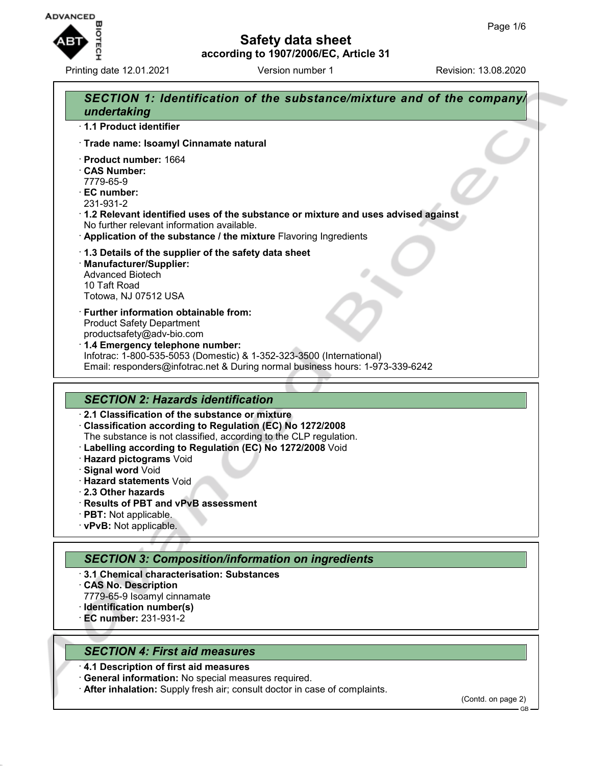

Printing date 12.01.2021 **Version number 1** Revision: 13.08.2020

## **Safety data sheet according to 1907/2006/EC, Article 31**



#### *SECTION 4: First aid measures*

- · **4.1 Description of first aid measures**
- · **General information:** No special measures required.
- · **After inhalation:** Supply fresh air; consult doctor in case of complaints.

(Contd. on page 2)

GB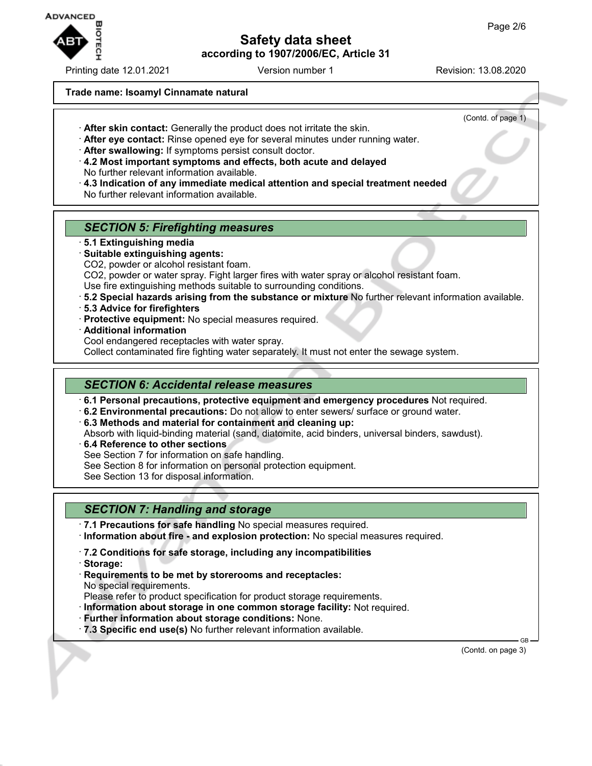

Printing date 12.01.2021 **Version number 1** Revision: 13.08.2020

(Contd. of page 1)

#### **Trade name: Isoamyl Cinnamate natural**

· **After skin contact:** Generally the product does not irritate the skin.

- · **After eye contact:** Rinse opened eye for several minutes under running water.
- · **After swallowing:** If symptoms persist consult doctor.
- · **4.2 Most important symptoms and effects, both acute and delayed** No further relevant information available.
- · **4.3 Indication of any immediate medical attention and special treatment needed**
- No further relevant information available.

# *SECTION 5: Firefighting measures*

- · **5.1 Extinguishing media**
- · **Suitable extinguishing agents:**
- CO2, powder or alcohol resistant foam.

CO2, powder or water spray. Fight larger fires with water spray or alcohol resistant foam.

Use fire extinguishing methods suitable to surrounding conditions.

- · **5.2 Special hazards arising from the substance or mixture** No further relevant information available.
- · **5.3 Advice for firefighters**
- · **Protective equipment:** No special measures required.
- · **Additional information**

Cool endangered receptacles with water spray.

Collect contaminated fire fighting water separately. It must not enter the sewage system.

# *SECTION 6: Accidental release measures*

· **6.1 Personal precautions, protective equipment and emergency procedures** Not required.

· **6.2 Environmental precautions:** Do not allow to enter sewers/ surface or ground water.

· **6.3 Methods and material for containment and cleaning up:**

Absorb with liquid-binding material (sand, diatomite, acid binders, universal binders, sawdust).

- · **6.4 Reference to other sections**
- See Section 7 for information on safe handling.
- See Section 8 for information on personal protection equipment.

See Section 13 for disposal information.

# *SECTION 7: Handling and storage*

· **7.1 Precautions for safe handling** No special measures required.

- · **Information about fire and explosion protection:** No special measures required.
- · **7.2 Conditions for safe storage, including any incompatibilities**
- · **Storage:**
- · **Requirements to be met by storerooms and receptacles:** No special requirements.

Please refer to product specification for product storage requirements.

- · **Information about storage in one common storage facility:** Not required.
- · **Further information about storage conditions:** None.
- · **7.3 Specific end use(s)** No further relevant information available.

 GB (Contd. on page 3)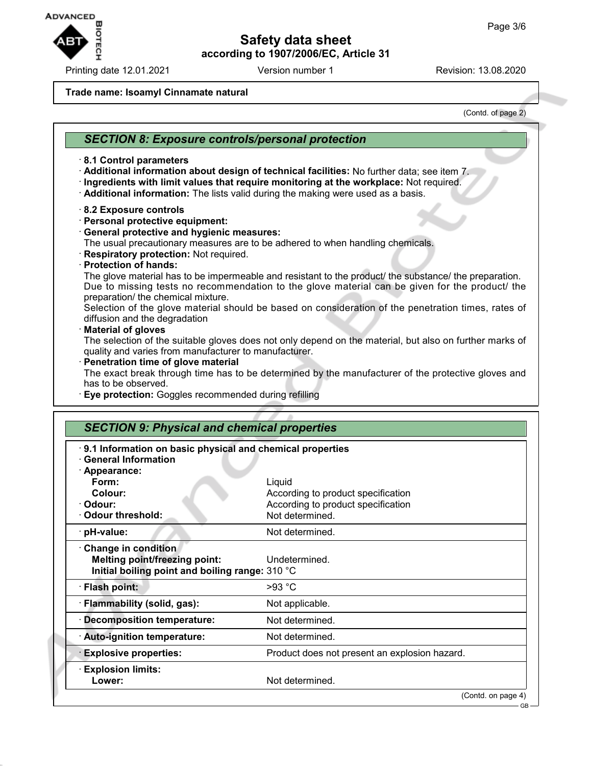

Printing date 12.01.2021 **Version number 1** Revision: 13.08.2020

#### **Trade name: Isoamyl Cinnamate natural**

(Contd. of page 2)

## *SECTION 8: Exposure controls/personal protection* · **8.1 Control parameters** · **Additional information about design of technical facilities:** No further data; see item 7. · **Ingredients with limit values that require monitoring at the workplace:** Not required. · **Additional information:** The lists valid during the making were used as a basis. · **8.2 Exposure controls** · **Personal protective equipment:** · **General protective and hygienic measures:** The usual precautionary measures are to be adhered to when handling chemicals. · **Respiratory protection:** Not required. · **Protection of hands:** The glove material has to be impermeable and resistant to the product/ the substance/ the preparation. Due to missing tests no recommendation to the glove material can be given for the product/ the preparation/ the chemical mixture. Selection of the glove material should be based on consideration of the penetration times, rates of diffusion and the degradation · **Material of gloves** The selection of the suitable gloves does not only depend on the material, but also on further marks of quality and varies from manufacturer to manufacturer. · **Penetration time of glove material** The exact break through time has to be determined by the manufacturer of the protective gloves and has to be observed. · **Eye protection:** Goggles recommended during refilling *SECTION 9: Physical and chemical properties* · **9.1 Information on basic physical and chemical properties** · **General Information** · **Appearance: Form:** Liquid **Colour:** According to product specification · **Odour:** According to product specification **Codour threshold:** Not determined. **PH-value:** Not determined. · **Change in condition Melting point/freezing point:** Undetermined. **Initial boiling point and boiling range:** 310 °C · **Flash point:** >93 °C · **Flammability (solid, gas):** Not applicable. · **Decomposition temperature:** Not determined. · **Auto-ignition temperature:** Not determined. · **Explosive properties:** Product does not present an explosion hazard. · **Explosion limits:** Lower: Not determined.

(Contd. on page 4)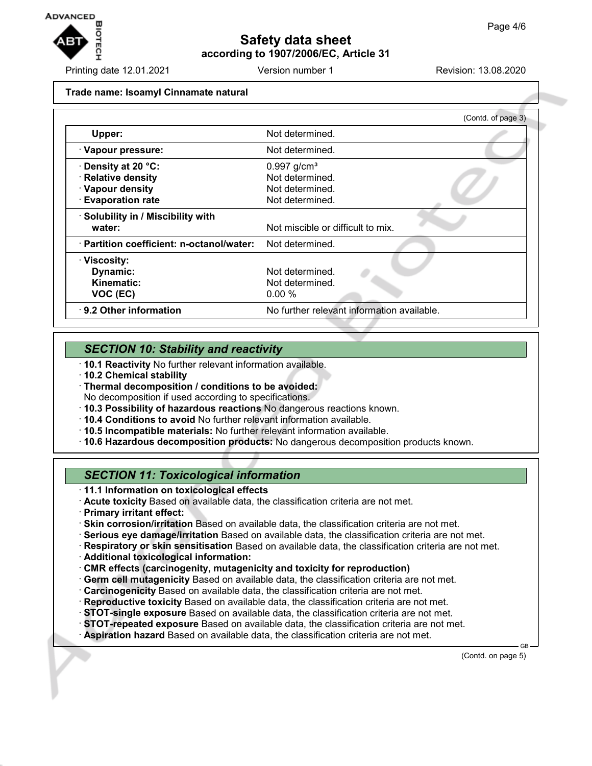

Printing date 12.01.2021 Version number 1 Revision: 13.08.2020

#### **Trade name: Isoamyl Cinnamate natural**

|                                           | (Contd. of page 3)                         |
|-------------------------------------------|--------------------------------------------|
| Upper:                                    | Not determined.                            |
| · Vapour pressure:                        | Not determined.                            |
| Density at 20 °C:                         | $0.997$ g/cm <sup>3</sup>                  |
| <b>Relative density</b>                   | Not determined.                            |
| · Vapour density                          | Not determined.                            |
| <b>Evaporation rate</b>                   | Not determined.                            |
| · Solubility in / Miscibility with        |                                            |
| water:                                    | Not miscible or difficult to mix.          |
| · Partition coefficient: n-octanol/water: | Not determined.                            |
| · Viscosity:                              |                                            |
| Dynamic:                                  | Not determined.                            |
| Kinematic:                                | Not determined.                            |
| VOC (EC)                                  | $0.00\%$                                   |
| ⋅ 9.2 Other information                   | No further relevant information available. |

## *SECTION 10: Stability and reactivity*

- · **10.1 Reactivity** No further relevant information available.
- · **10.2 Chemical stability**
- · **Thermal decomposition / conditions to be avoided:** No decomposition if used according to specifications.
- · **10.3 Possibility of hazardous reactions** No dangerous reactions known.
- · **10.4 Conditions to avoid** No further relevant information available.
- · **10.5 Incompatible materials:** No further relevant information available.
- · **10.6 Hazardous decomposition products:** No dangerous decomposition products known.

## *SECTION 11: Toxicological information*

- · **11.1 Information on toxicological effects**
- · **Acute toxicity** Based on available data, the classification criteria are not met.
- · **Primary irritant effect:**
- · **Skin corrosion/irritation** Based on available data, the classification criteria are not met.
- · **Serious eye damage/irritation** Based on available data, the classification criteria are not met.
- · **Respiratory or skin sensitisation** Based on available data, the classification criteria are not met.
- · **Additional toxicological information:**
- · **CMR effects (carcinogenity, mutagenicity and toxicity for reproduction)**
- · **Germ cell mutagenicity** Based on available data, the classification criteria are not met.
- · **Carcinogenicity** Based on available data, the classification criteria are not met.
- · **Reproductive toxicity** Based on available data, the classification criteria are not met.
- · **STOT-single exposure** Based on available data, the classification criteria are not met.
- · **STOT-repeated exposure** Based on available data, the classification criteria are not met.
- · **Aspiration hazard** Based on available data, the classification criteria are not met.

(Contd. on page 5)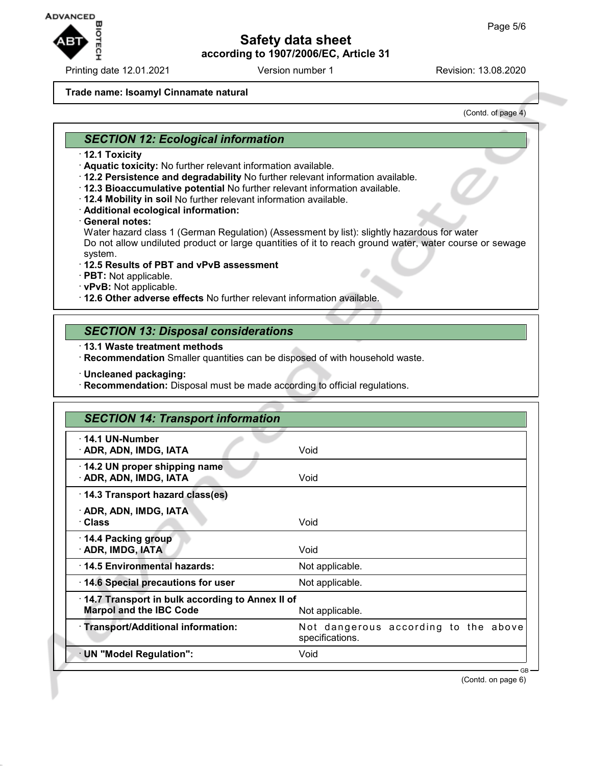

Printing date 12.01.2021 **Version number 1** Revision: 13.08.2020

#### **Trade name: Isoamyl Cinnamate natural**

(Contd. of page 4)

#### *SECTION 12: Ecological information*

- · **12.1 Toxicity**
- · **Aquatic toxicity:** No further relevant information available.
- · **12.2 Persistence and degradability** No further relevant information available.
- · **12.3 Bioaccumulative potential** No further relevant information available.
- · **12.4 Mobility in soil** No further relevant information available.
- · **Additional ecological information:**
- · **General notes:**

Water hazard class 1 (German Regulation) (Assessment by list): slightly hazardous for water Do not allow undiluted product or large quantities of it to reach ground water, water course or sewage system.

#### · **12.5 Results of PBT and vPvB assessment**

- · **PBT:** Not applicable.
- · **vPvB:** Not applicable.
- · **12.6 Other adverse effects** No further relevant information available.

#### *SECTION 13: Disposal considerations*

- · **13.1 Waste treatment methods**
- · **Recommendation** Smaller quantities can be disposed of with household waste.
- · **Uncleaned packaging:**
- · **Recommendation:** Disposal must be made according to official regulations.

| <b>SECTION 14: Transport information</b>                                                             |                                                         |
|------------------------------------------------------------------------------------------------------|---------------------------------------------------------|
| $\cdot$ 14.1 UN-Number<br>· ADR, ADN, IMDG, IATA                                                     | Void                                                    |
| 14.2 UN proper shipping name<br>· ADR, ADN, IMDG, IATA                                               | Void                                                    |
| 14.3 Transport hazard class(es)                                                                      |                                                         |
| · ADR, ADN, IMDG, IATA<br>· Class                                                                    | Void                                                    |
| 14.4 Packing group<br>· ADR, IMDG, IATA                                                              | Void                                                    |
| 14.5 Environmental hazards:                                                                          | Not applicable.                                         |
| 14.6 Special precautions for user                                                                    | Not applicable.                                         |
| 14.7 Transport in bulk according to Annex II of<br><b>Marpol and the IBC Code</b><br>Not applicable. |                                                         |
| · Transport/Additional information:                                                                  | Not dangerous according to the above<br>specifications. |
| · UN "Model Regulation":                                                                             | Void                                                    |

(Contd. on page 6)